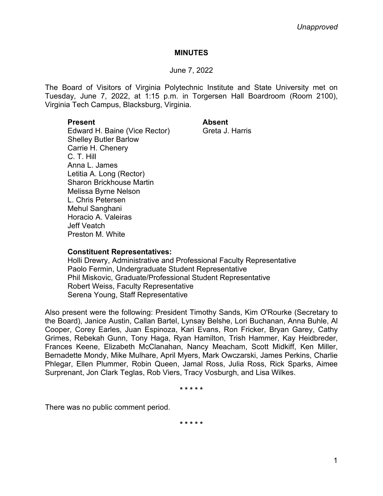# **MINUTES**

# June 7, 2022

The Board of Visitors of Virginia Polytechnic Institute and State University met on Tuesday, June 7, 2022, at 1:15 p.m. in Torgersen Hall Boardroom (Room 2100), Virginia Tech Campus, Blacksburg, Virginia.

# **Present Absent**

Edward H. Baine (Vice Rector) Greta J. Harris Shelley Butler Barlow Carrie H. Chenery C. T. Hill Anna L. James Letitia A. Long (Rector) Sharon Brickhouse Martin Melissa Byrne Nelson L. Chris Petersen Mehul Sanghani Horacio A. Valeiras Jeff Veatch Preston M. White

# **Constituent Representatives:**

Holli Drewry, Administrative and Professional Faculty Representative Paolo Fermin, Undergraduate Student Representative Phil Miskovic, Graduate/Professional Student Representative Robert Weiss, Faculty Representative Serena Young, Staff Representative

Also present were the following: President Timothy Sands, Kim O'Rourke (Secretary to the Board), Janice Austin, Callan Bartel, Lynsay Belshe, Lori Buchanan, Anna Buhle, Al Cooper, Corey Earles, Juan Espinoza, Kari Evans, Ron Fricker, Bryan Garey, Cathy Grimes, Rebekah Gunn, Tony Haga, Ryan Hamilton, Trish Hammer, Kay Heidbreder, Frances Keene, Elizabeth McClanahan, Nancy Meacham, Scott Midkiff, Ken Miller, Bernadette Mondy, Mike Mulhare, April Myers, Mark Owczarski, James Perkins, Charlie Phlegar, Ellen Plummer, Robin Queen, Jamal Ross, Julia Ross, Rick Sparks, Aimee Surprenant, Jon Clark Teglas, Rob Viers, Tracy Vosburgh, and Lisa Wilkes.

**\* \* \* \* \***

There was no public comment period.

**\* \* \* \* \***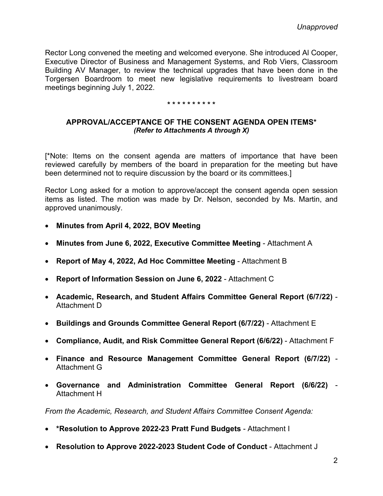Rector Long convened the meeting and welcomed everyone. She introduced Al Cooper, Executive Director of Business and Management Systems, and Rob Viers, Classroom Building AV Manager, to review the technical upgrades that have been done in the Torgersen Boardroom to meet new legislative requirements to livestream board meetings beginning July 1, 2022.

### **\* \* \* \* \* \* \* \* \* \***

# **APPROVAL/ACCEPTANCE OF THE CONSENT AGENDA OPEN ITEMS\*** *(Refer to Attachments A through X)*

[\*Note: Items on the consent agenda are matters of importance that have been reviewed carefully by members of the board in preparation for the meeting but have been determined not to require discussion by the board or its committees.]

Rector Long asked for a motion to approve/accept the consent agenda open session items as listed. The motion was made by Dr. Nelson, seconded by Ms. Martin, and approved unanimously.

- **Minutes from April 4, 2022, BOV Meeting**
- **Minutes from June 6, 2022, Executive Committee Meeting** Attachment A
- **Report of May 4, 2022, Ad Hoc Committee Meeting** Attachment B
- **Report of Information Session on June 6, 2022** Attachment C
- **Academic, Research, and Student Affairs Committee General Report (6/7/22)**  Attachment D
- **Buildings and Grounds Committee General Report (6/7/22)**  Attachment E
- **Compliance, Audit, and Risk Committee General Report (6/6/22)**  Attachment F
- **Finance and Resource Management Committee General Report (6/7/22)** Attachment G
- **Governance and Administration Committee General Report (6/6/22)** Attachment H

*From the Academic, Research, and Student Affairs Committee Consent Agenda:*

- **\*Resolution to Approve 2022-23 Pratt Fund Budgets**  Attachment I
- **Resolution to Approve 2022-2023 Student Code of Conduct** Attachment J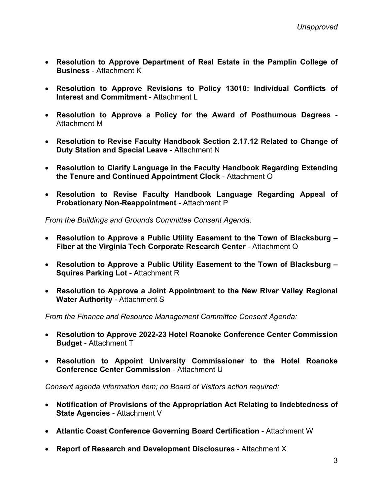- **Resolution to Approve Department of Real Estate in the Pamplin College of Business** - Attachment K
- **Resolution to Approve Revisions to Policy 13010: Individual Conflicts of Interest and Commitment** - Attachment L
- **Resolution to Approve a Policy for the Award of Posthumous Degrees** Attachment M
- **Resolution to Revise Faculty Handbook Section 2.17.12 Related to Change of Duty Station and Special Leave** - Attachment N
- **Resolution to Clarify Language in the Faculty Handbook Regarding Extending the Tenure and Continued Appointment Clock** - Attachment O
- **Resolution to Revise Faculty Handbook Language Regarding Appeal of Probationary Non-Reappointment** - Attachment P

*From the Buildings and Grounds Committee Consent Agenda:*

- **Resolution to Approve a Public Utility Easement to the Town of Blacksburg – Fiber at the Virginia Tech Corporate Research Center** - Attachment Q
- **Resolution to Approve a Public Utility Easement to the Town of Blacksburg – Squires Parking Lot** - Attachment R
- **Resolution to Approve a Joint Appointment to the New River Valley Regional Water Authority** - Attachment S

*From the Finance and Resource Management Committee Consent Agenda:*

- **Resolution to Approve 2022-23 Hotel Roanoke Conference Center Commission Budget** - Attachment T
- **Resolution to Appoint University Commissioner to the Hotel Roanoke Conference Center Commission** - Attachment U

*Consent agenda information item; no Board of Visitors action required:*

- **Notification of Provisions of the Appropriation Act Relating to Indebtedness of State Agencies** - Attachment V
- **Atlantic Coast Conference Governing Board Certification** Attachment W
- **Report of Research and Development Disclosures** Attachment X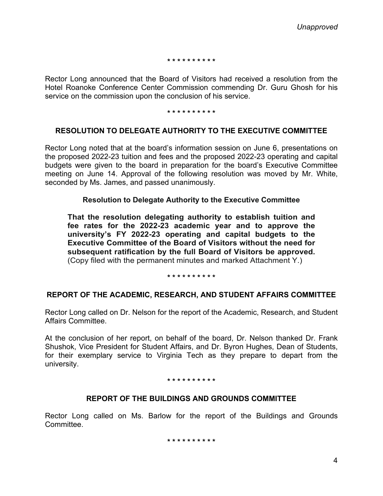**\* \* \* \* \* \* \* \* \* \***

Rector Long announced that the Board of Visitors had received a resolution from the Hotel Roanoke Conference Center Commission commending Dr. Guru Ghosh for his service on the commission upon the conclusion of his service.

#### **\* \* \* \* \* \* \* \* \* \***

# **RESOLUTION TO DELEGATE AUTHORITY TO THE EXECUTIVE COMMITTEE**

Rector Long noted that at the board's information session on June 6, presentations on the proposed 2022-23 tuition and fees and the proposed 2022-23 operating and capital budgets were given to the board in preparation for the board's Executive Committee meeting on June 14. Approval of the following resolution was moved by Mr. White, seconded by Ms. James, and passed unanimously.

## **Resolution to Delegate Authority to the Executive Committee**

**That the resolution delegating authority to establish tuition and fee rates for the 2022-23 academic year and to approve the university's FY 2022-23 operating and capital budgets to the Executive Committee of the Board of Visitors without the need for subsequent ratification by the full Board of Visitors be approved.** (Copy filed with the permanent minutes and marked Attachment Y.)

### **\* \* \* \* \* \* \* \* \* \***

# **REPORT OF THE ACADEMIC, RESEARCH, AND STUDENT AFFAIRS COMMITTEE**

Rector Long called on Dr. Nelson for the report of the Academic, Research, and Student Affairs Committee.

At the conclusion of her report, on behalf of the board, Dr. Nelson thanked Dr. Frank Shushok, Vice President for Student Affairs, and Dr. Byron Hughes, Dean of Students, for their exemplary service to Virginia Tech as they prepare to depart from the university.

### **\* \* \* \* \* \* \* \* \* \***

# **REPORT OF THE BUILDINGS AND GROUNDS COMMITTEE**

Rector Long called on Ms. Barlow for the report of the Buildings and Grounds Committee.

**\* \* \* \* \* \* \* \* \* \***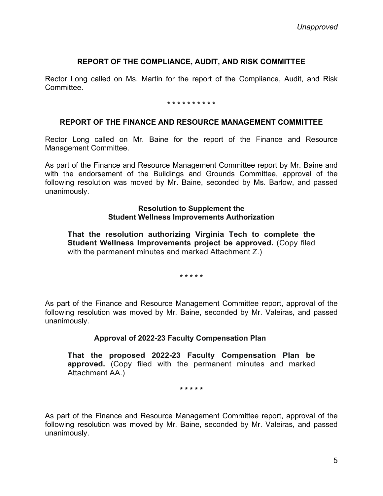# **REPORT OF THE COMPLIANCE, AUDIT, AND RISK COMMITTEE**

Rector Long called on Ms. Martin for the report of the Compliance, Audit, and Risk **Committee.** 

### **\* \* \* \* \* \* \* \* \* \***

## **REPORT OF THE FINANCE AND RESOURCE MANAGEMENT COMMITTEE**

Rector Long called on Mr. Baine for the report of the Finance and Resource Management Committee.

As part of the Finance and Resource Management Committee report by Mr. Baine and with the endorsement of the Buildings and Grounds Committee, approval of the following resolution was moved by Mr. Baine, seconded by Ms. Barlow, and passed unanimously.

## **Resolution to Supplement the Student Wellness Improvements Authorization**

**That the resolution authorizing Virginia Tech to complete the Student Wellness Improvements project be approved.** (Copy filed with the permanent minutes and marked Attachment Z.)

**\* \* \* \* \***

As part of the Finance and Resource Management Committee report, approval of the following resolution was moved by Mr. Baine, seconded by Mr. Valeiras, and passed unanimously.

# **Approval of 2022-23 Faculty Compensation Plan**

**That the proposed 2022-23 Faculty Compensation Plan be approved.** (Copy filed with the permanent minutes and marked Attachment AA.)

**\* \* \* \* \***

As part of the Finance and Resource Management Committee report, approval of the following resolution was moved by Mr. Baine, seconded by Mr. Valeiras, and passed unanimously.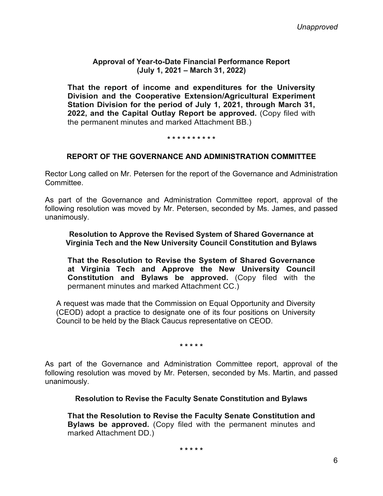# **Approval of Year-to-Date Financial Performance Report (July 1, 2021 – March 31, 2022)**

**That the report of income and expenditures for the University Division and the Cooperative Extension/Agricultural Experiment Station Division for the period of July 1, 2021, through March 31, 2022, and the Capital Outlay Report be approved.** (Copy filed with the permanent minutes and marked Attachment BB.)

### **\* \* \* \* \* \* \* \* \* \***

# **REPORT OF THE GOVERNANCE AND ADMINISTRATION COMMITTEE**

Rector Long called on Mr. Petersen for the report of the Governance and Administration Committee.

As part of the Governance and Administration Committee report, approval of the following resolution was moved by Mr. Petersen, seconded by Ms. James, and passed unanimously.

**Resolution to Approve the Revised System of Shared Governance at Virginia Tech and the New University Council Constitution and Bylaws**

**That the Resolution to Revise the System of Shared Governance at Virginia Tech and Approve the New University Council Constitution and Bylaws be approved.** (Copy filed with the permanent minutes and marked Attachment CC.)

A request was made that the Commission on Equal Opportunity and Diversity (CEOD) adopt a practice to designate one of its four positions on University Council to be held by the Black Caucus representative on CEOD.

**\* \* \* \* \***

As part of the Governance and Administration Committee report, approval of the following resolution was moved by Mr. Petersen, seconded by Ms. Martin, and passed unanimously.

**Resolution to Revise the Faculty Senate Constitution and Bylaws**

**That the Resolution to Revise the Faculty Senate Constitution and Bylaws be approved.** (Copy filed with the permanent minutes and marked Attachment DD.)

**\* \* \* \* \***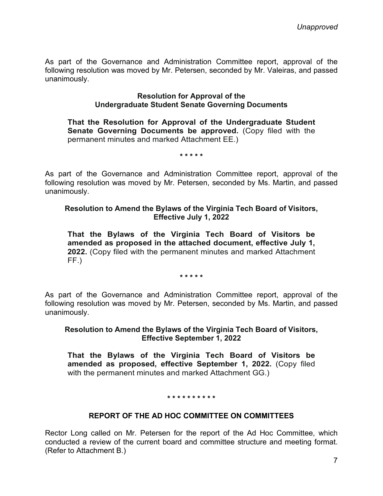As part of the Governance and Administration Committee report, approval of the following resolution was moved by Mr. Petersen, seconded by Mr. Valeiras, and passed unanimously.

## **Resolution for Approval of the Undergraduate Student Senate Governing Documents**

**That the Resolution for Approval of the Undergraduate Student Senate Governing Documents be approved.** (Copy filed with the permanent minutes and marked Attachment EE.)

**\* \* \* \* \***

As part of the Governance and Administration Committee report, approval of the following resolution was moved by Mr. Petersen, seconded by Ms. Martin, and passed unanimously.

# **Resolution to Amend the Bylaws of the Virginia Tech Board of Visitors, Effective July 1, 2022**

**That the Bylaws of the Virginia Tech Board of Visitors be amended as proposed in the attached document, effective July 1, 2022.** (Copy filed with the permanent minutes and marked Attachment FF.)

### **\* \* \* \* \***

As part of the Governance and Administration Committee report, approval of the following resolution was moved by Mr. Petersen, seconded by Ms. Martin, and passed unanimously.

# **Resolution to Amend the Bylaws of the Virginia Tech Board of Visitors, Effective September 1, 2022**

**That the Bylaws of the Virginia Tech Board of Visitors be amended as proposed, effective September 1, 2022.** (Copy filed with the permanent minutes and marked Attachment GG.)

## **\* \* \* \* \* \* \* \* \* \***

# **REPORT OF THE AD HOC COMMITTEE ON COMMITTEES**

Rector Long called on Mr. Petersen for the report of the Ad Hoc Committee, which conducted a review of the current board and committee structure and meeting format. (Refer to Attachment B.)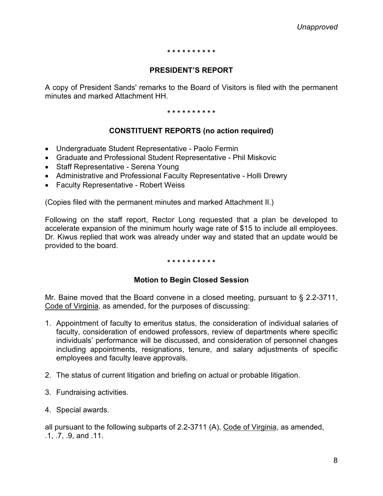#### **\* \* \* \* \* \* \* \* \* \***

# **PRESIDENT'S REPORT**

A copy of President Sands' remarks to the Board of Visitors is filed with the permanent minutes and marked Attachment HH.

**\* \* \* \* \* \* \* \* \* \***

# **CONSTITUENT REPORTS (no action required)**

- Undergraduate Student Representative Paolo Fermin
- Graduate and Professional Student Representative Phil Miskovic
- Staff Representative Serena Young
- Administrative and Professional Faculty Representative Holli Drewry
- Faculty Representative Robert Weiss

(Copies filed with the permanent minutes and marked Attachment II.)

Following on the staff report, Rector Long requested that a plan be developed to accelerate expansion of the minimum hourly wage rate of \$15 to include all employees. Dr. Kiwus replied that work was already under way and stated that an update would be provided to the board.

## **\* \* \* \* \* \* \* \* \* \***

# **Motion to Begin Closed Session**

Mr. Baine moved that the Board convene in a closed meeting, pursuant to § 2.2-3711, Code of Virginia, as amended, for the purposes of discussing:

- 1. Appointment of faculty to emeritus status, the consideration of individual salaries of faculty, consideration of endowed professors, review of departments where specific individuals' performance will be discussed, and consideration of personnel changes including appointments, resignations, tenure, and salary adjustments of specific employees and faculty leave approvals.
- 2. The status of current litigation and briefing on actual or probable litigation.
- 3. Fundraising activities.
- 4. Special awards.

all pursuant to the following subparts of 2.2-3711 (A), Code of Virginia, as amended, .1, .7, .9, and .11.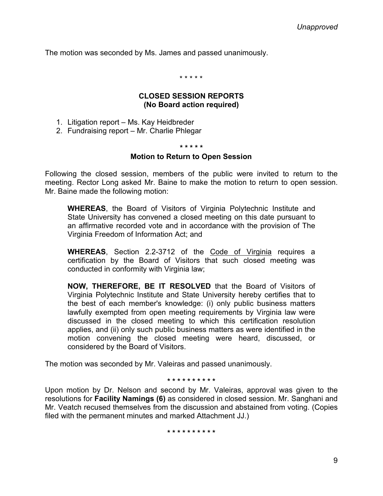The motion was seconded by Ms. James and passed unanimously.

\* \* \* \* \*

# **CLOSED SESSION REPORTS (No Board action required)**

- 1. Litigation report Ms. Kay Heidbreder
- 2. Fundraising report Mr. Charlie Phlegar

#### **\* \* \* \* \***

## **Motion to Return to Open Session**

Following the closed session, members of the public were invited to return to the meeting. Rector Long asked Mr. Baine to make the motion to return to open session. Mr. Baine made the following motion:

**WHEREAS**, the Board of Visitors of Virginia Polytechnic Institute and State University has convened a closed meeting on this date pursuant to an affirmative recorded vote and in accordance with the provision of The Virginia Freedom of Information Act; and

**WHEREAS**, Section 2.2-3712 of the Code of Virginia requires a certification by the Board of Visitors that such closed meeting was conducted in conformity with Virginia law;

**NOW, THEREFORE, BE IT RESOLVED** that the Board of Visitors of Virginia Polytechnic Institute and State University hereby certifies that to the best of each member's knowledge: (i) only public business matters lawfully exempted from open meeting requirements by Virginia law were discussed in the closed meeting to which this certification resolution applies, and (ii) only such public business matters as were identified in the motion convening the closed meeting were heard, discussed, or considered by the Board of Visitors.

The motion was seconded by Mr. Valeiras and passed unanimously.

#### **\* \* \* \* \* \* \* \* \* \***

Upon motion by Dr. Nelson and second by Mr. Valeiras, approval was given to the resolutions for **Facility Namings (6)** as considered in closed session. Mr. Sanghani and Mr. Veatch recused themselves from the discussion and abstained from voting. (Copies filed with the permanent minutes and marked Attachment JJ.)

**\* \* \* \* \* \* \* \* \* \***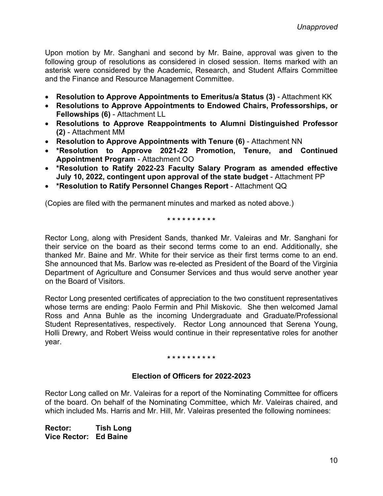Upon motion by Mr. Sanghani and second by Mr. Baine, approval was given to the following group of resolutions as considered in closed session. Items marked with an asterisk were considered by the Academic, Research, and Student Affairs Committee and the Finance and Resource Management Committee.

- **Resolution to Approve Appointments to Emeritus/a Status (3)** Attachment KK
- **Resolutions to Approve Appointments to Endowed Chairs, Professorships, or Fellowships (6)** - Attachment LL
- **Resolutions to Approve Reappointments to Alumni Distinguished Professor (2)** - Attachment MM
- **Resolution to Approve Appointments with Tenure (6)** Attachment NN
- **\*Resolution to Approve 2021-22 Promotion, Tenure, and Continued Appointment Program** - Attachment OO
- **\*Resolution to Ratify 2022-23 Faculty Salary Program as amended effective July 10, 2022, contingent upon approval of the state budget** - Attachment PP
- **\*Resolution to Ratify Personnel Changes Report** Attachment QQ

(Copies are filed with the permanent minutes and marked as noted above.)

**\* \* \* \* \* \* \* \* \* \***

Rector Long, along with President Sands, thanked Mr. Valeiras and Mr. Sanghani for their service on the board as their second terms come to an end. Additionally, she thanked Mr. Baine and Mr. White for their service as their first terms come to an end. She announced that Ms. Barlow was re-elected as President of the Board of the Virginia Department of Agriculture and Consumer Services and thus would serve another year on the Board of Visitors.

Rector Long presented certificates of appreciation to the two constituent representatives whose terms are ending: Paolo Fermin and Phil Miskovic. She then welcomed Jamal Ross and Anna Buhle as the incoming Undergraduate and Graduate/Professional Student Representatives, respectively. Rector Long announced that Serena Young, Holli Drewry, and Robert Weiss would continue in their representative roles for another year.

## **\* \* \* \* \* \* \* \* \* \***

# **Election of Officers for 2022-2023**

Rector Long called on Mr. Valeiras for a report of the Nominating Committee for officers of the board. On behalf of the Nominating Committee, which Mr. Valeiras chaired, and which included Ms. Harris and Mr. Hill, Mr. Valeiras presented the following nominees:

**Rector: Tish Long Vice Rector: Ed Baine**